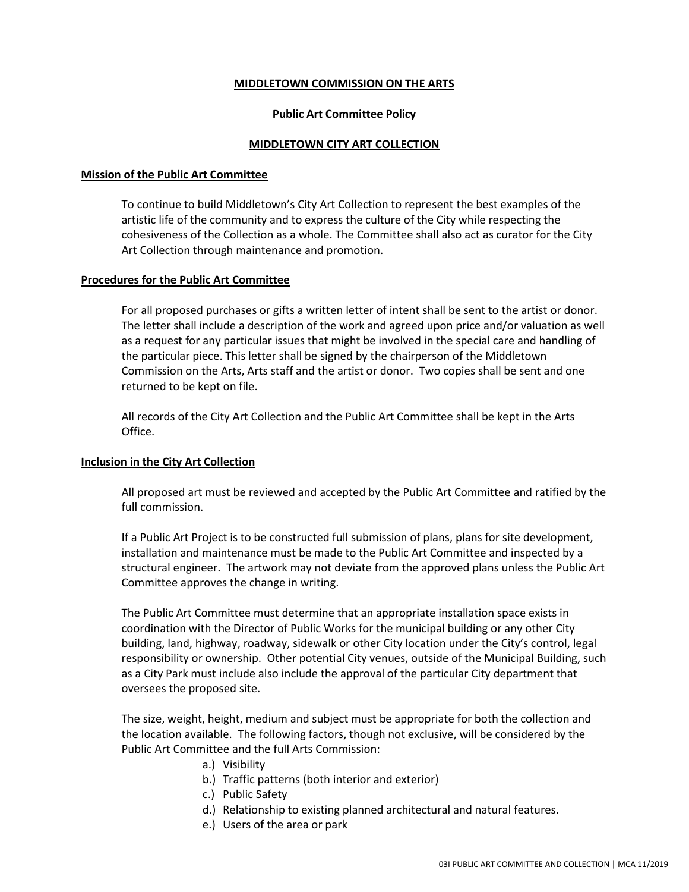# **MIDDLETOWN COMMISSION ON THE ARTS**

# **Public Art Committee Policy**

# **MIDDLETOWN CITY ART COLLECTION**

### **Mission of the Public Art Committee**

To continue to build Middletown's City Art Collection to represent the best examples of the artistic life of the community and to express the culture of the City while respecting the cohesiveness of the Collection as a whole. The Committee shall also act as curator for the City Art Collection through maintenance and promotion.

### **Procedures for the Public Art Committee**

For all proposed purchases or gifts a written letter of intent shall be sent to the artist or donor. The letter shall include a description of the work and agreed upon price and/or valuation as well as a request for any particular issues that might be involved in the special care and handling of the particular piece. This letter shall be signed by the chairperson of the Middletown Commission on the Arts, Arts staff and the artist or donor. Two copies shall be sent and one returned to be kept on file.

All records of the City Art Collection and the Public Art Committee shall be kept in the Arts Office.

### **Inclusion in the City Art Collection**

All proposed art must be reviewed and accepted by the Public Art Committee and ratified by the full commission.

If a Public Art Project is to be constructed full submission of plans, plans for site development, installation and maintenance must be made to the Public Art Committee and inspected by a structural engineer. The artwork may not deviate from the approved plans unless the Public Art Committee approves the change in writing.

The Public Art Committee must determine that an appropriate installation space exists in coordination with the Director of Public Works for the municipal building or any other City building, land, highway, roadway, sidewalk or other City location under the City's control, legal responsibility or ownership. Other potential City venues, outside of the Municipal Building, such as a City Park must include also include the approval of the particular City department that oversees the proposed site.

The size, weight, height, medium and subject must be appropriate for both the collection and the location available. The following factors, though not exclusive, will be considered by the Public Art Committee and the full Arts Commission:

- a.) Visibility
- b.) Traffic patterns (both interior and exterior)
- c.) Public Safety
- d.) Relationship to existing planned architectural and natural features.
- e.) Users of the area or park